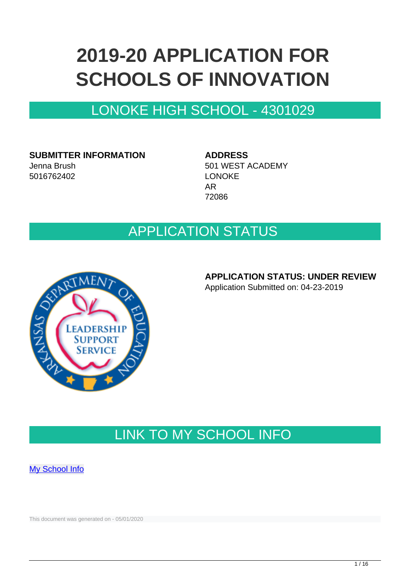# **2019-20 APPLICATION FOR SCHOOLS OF INNOVATION**

## LONOKE HIGH SCHOOL - 4301029

**SUBMITTER INFORMATION** Jenna Brush 5016762402

**ADDRESS** 501 WEST ACADEMY LONOKE AR 72086

## APPLICATION STATUS



### **APPLICATION STATUS: UNDER REVIEW**

Application Submitted on: 04-23-2019

## LINK TO MY SCHOOL INFO

**[My School Info](https://myschoolinfo.arkansas.gov/Schools/Search?OperationContext=None&SearchFlag=School&Query=4301029)** 

This document was generated on - 05/01/2020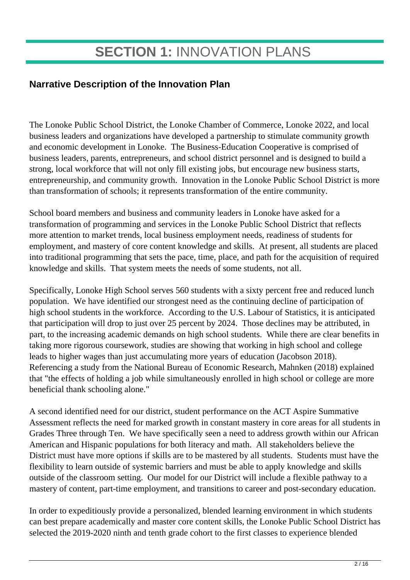## **Narrative Description of the Innovation Plan**

The Lonoke Public School District, the Lonoke Chamber of Commerce, Lonoke 2022, and local business leaders and organizations have developed a partnership to stimulate community growth and economic development in Lonoke. The Business-Education Cooperative is comprised of business leaders, parents, entrepreneurs, and school district personnel and is designed to build a strong, local workforce that will not only fill existing jobs, but encourage new business starts, entrepreneurship, and community growth. Innovation in the Lonoke Public School District is more than transformation of schools; it represents transformation of the entire community.

School board members and business and community leaders in Lonoke have asked for a transformation of programming and services in the Lonoke Public School District that reflects more attention to market trends, local business employment needs, readiness of students for employment, and mastery of core content knowledge and skills. At present, all students are placed into traditional programming that sets the pace, time, place, and path for the acquisition of required knowledge and skills. That system meets the needs of some students, not all.

Specifically, Lonoke High School serves 560 students with a sixty percent free and reduced lunch population. We have identified our strongest need as the continuing decline of participation of high school students in the workforce. According to the U.S. Labour of Statistics, it is anticipated that participation will drop to just over 25 percent by 2024. Those declines may be attributed, in part, to the increasing academic demands on high school students. While there are clear benefits in taking more rigorous coursework, studies are showing that working in high school and college leads to higher wages than just accumulating more years of education (Jacobson 2018). Referencing a study from the National Bureau of Economic Research, Mahnken (2018) explained that "the effects of holding a job while simultaneously enrolled in high school or college are more beneficial thank schooling alone."

A second identified need for our district, student performance on the ACT Aspire Summative Assessment reflects the need for marked growth in constant mastery in core areas for all students in Grades Three through Ten. We have specifically seen a need to address growth within our African American and Hispanic populations for both literacy and math. All stakeholders believe the District must have more options if skills are to be mastered by all students. Students must have the flexibility to learn outside of systemic barriers and must be able to apply knowledge and skills outside of the classroom setting. Our model for our District will include a flexible pathway to a mastery of content, part-time employment, and transitions to career and post-secondary education.

In order to expeditiously provide a personalized, blended learning environment in which students can best prepare academically and master core content skills, the Lonoke Public School District has selected the 2019-2020 ninth and tenth grade cohort to the first classes to experience blended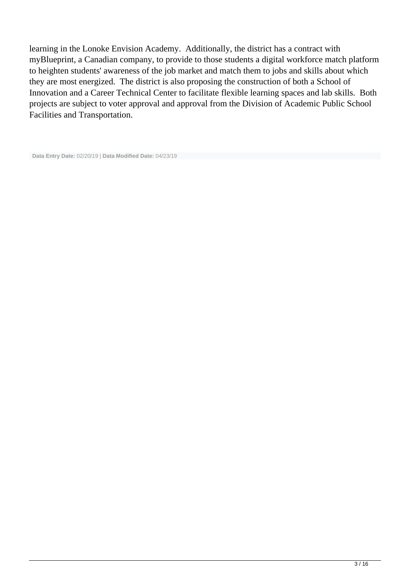learning in the Lonoke Envision Academy. Additionally, the district has a contract with myBlueprint, a Canadian company, to provide to those students a digital workforce match platform to heighten students' awareness of the job market and match them to jobs and skills about which they are most energized. The district is also proposing the construction of both a School of Innovation and a Career Technical Center to facilitate flexible learning spaces and lab skills. Both projects are subject to voter approval and approval from the Division of Academic Public School Facilities and Transportation.

```
 Data Entry Date: 02/20/19 | Data Modified Date: 04/23/19
```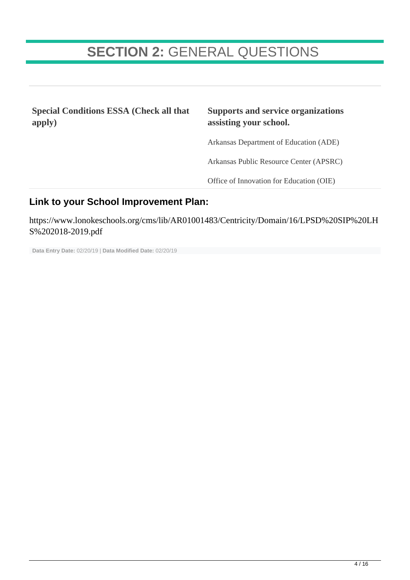## **SECTION 2:** GENERAL QUESTIONS

**Special Conditions ESSA (Check all that apply)**

#### **Supports and service organizations assisting your school.**

Arkansas Department of Education (ADE)

Arkansas Public Resource Center (APSRC)

Office of Innovation for Education (OIE)

### **Link to your School Improvement Plan:**

https://www.lonokeschools.org/cms/lib/AR01001483/Centricity/Domain/16/LPSD%20SIP%20LH S%202018-2019.pdf

**Data Entry Date:** 02/20/19 | **Data Modified Date:** 02/20/19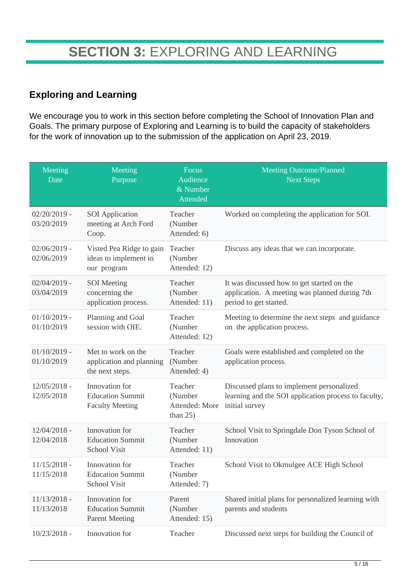## **Exploring and Learning**

We encourage you to work in this section before completing the School of Innovation Plan and Goals. The primary purpose of Exploring and Learning is to build the capacity of stakeholders for the work of innovation up to the submission of the application on April 23, 2019.

| Meeting<br>Date              | Meeting<br>Purpose                                                  | Focus<br>Audience<br>& Number<br>Attended           | <b>Meeting Outcome/Planned</b><br><b>Next Steps</b>                                                                   |
|------------------------------|---------------------------------------------------------------------|-----------------------------------------------------|-----------------------------------------------------------------------------------------------------------------------|
| $02/20/2019$ -<br>03/20/2019 | <b>SOI</b> Application<br>meeting at Arch Ford<br>Coop.             | Teacher<br>(Number<br>Attended: 6)                  | Worked on completing the application for SOI.                                                                         |
| $02/06/2019$ -<br>02/06/2019 | Visted Pea Ridge to gain<br>ideas to implement in<br>our program    | Teacher<br>(Number<br>Attended: 12)                 | Discuss any ideas that we can incorporate.                                                                            |
| $02/04/2019$ -<br>03/04/2019 | <b>SOI</b> Meeting<br>concerning the<br>application process.        | Teacher<br>(Number<br>Attended: 11)                 | It was discussed how to get started on the<br>application. A meeting was planned during 7th<br>period to get started. |
| $01/10/2019$ -<br>01/10/2019 | Planning and Goal<br>session with OIE.                              | Teacher<br>(Number<br>Attended: 12)                 | Meeting to determine the next steps and guidance<br>on the application process.                                       |
| $01/10/2019$ -<br>01/10/2019 | Met to work on the<br>application and planning<br>the next steps.   | Teacher<br>(Number<br>Attended: 4)                  | Goals were established and completed on the<br>application process.                                                   |
| $12/05/2018$ -<br>12/05/2018 | Innovation for<br><b>Education Summit</b><br><b>Faculty Meeting</b> | Teacher<br>(Number<br>Attended: More<br>than $25$ ) | Discussed plans to implement personalized<br>learning and the SOI application process to faculty,<br>initial survey   |
| $12/04/2018$ -<br>12/04/2018 | Innovation for<br><b>Education Summit</b><br><b>School Visit</b>    | Teacher<br>(Number<br>Attended: 11)                 | School Visit to Springdale Don Tyson School of<br>Innovation                                                          |
| $11/15/2018$ -<br>11/15/2018 | Innovation for<br><b>Education Summit</b><br><b>School Visit</b>    | Teacher<br>(Number<br>Attended: 7)                  | School Visit to Okmulgee ACE High School                                                                              |
| $11/13/2018 -$<br>11/13/2018 | Innovation for<br><b>Education Summit</b><br><b>Parent Meeting</b>  | Parent<br>(Number<br>Attended: 15)                  | Shared initial plans for personalized learning with<br>parents and students                                           |
| $10/23/2018 -$               | Innovation for                                                      | Teacher                                             | Discussed next steps for building the Council of                                                                      |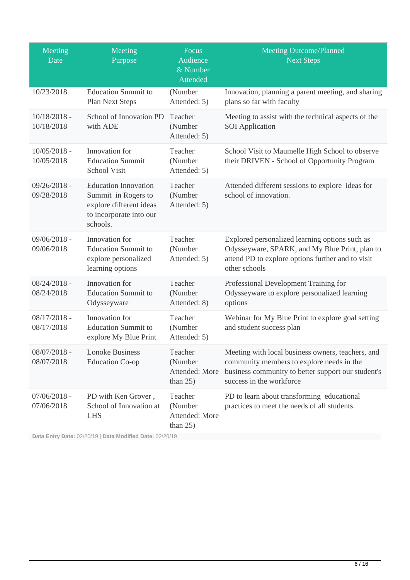| Meeting<br>Date              | Meeting<br>Purpose                                                                                                   | Focus<br>Audience<br>& Number<br>Attended           | <b>Meeting Outcome/Planned</b><br><b>Next Steps</b>                                                                                                                              |
|------------------------------|----------------------------------------------------------------------------------------------------------------------|-----------------------------------------------------|----------------------------------------------------------------------------------------------------------------------------------------------------------------------------------|
| 10/23/2018                   | <b>Education Summit to</b><br>Plan Next Steps                                                                        | (Number<br>Attended: 5)                             | Innovation, planning a parent meeting, and sharing<br>plans so far with faculty                                                                                                  |
| $10/18/2018$ -<br>10/18/2018 | School of Innovation PD<br>with ADE                                                                                  | Teacher<br>(Number<br>Attended: 5)                  | Meeting to assist with the technical aspects of the<br><b>SOI</b> Application                                                                                                    |
| $10/05/2018$ -<br>10/05/2018 | Innovation for<br><b>Education Summit</b><br>School Visit                                                            | Teacher<br>(Number<br>Attended: 5)                  | School Visit to Maumelle High School to observe<br>their DRIVEN - School of Opportunity Program                                                                                  |
| $09/26/2018 -$<br>09/28/2018 | <b>Education Innovation</b><br>Summit in Rogers to<br>explore different ideas<br>to incorporate into our<br>schools. | Teacher<br>(Number<br>Attended: 5)                  | Attended different sessions to explore ideas for<br>school of innovation.                                                                                                        |
| 09/06/2018 -<br>09/06/2018   | Innovation for<br><b>Education Summit to</b><br>explore personalized<br>learning options                             | Teacher<br>(Number<br>Attended: 5)                  | Explored personalized learning options such as<br>Odysseyware, SPARK, and My Blue Print, plan to<br>attend PD to explore options further and to visit<br>other schools           |
| $08/24/2018 -$<br>08/24/2018 | Innovation for<br><b>Education Summit to</b><br>Odysseyware                                                          | Teacher<br>(Number<br>Attended: 8)                  | Professional Development Training for<br>Odysseyware to explore personalized learning<br>options                                                                                 |
| $08/17/2018 -$<br>08/17/2018 | Innovation for<br><b>Education Summit to</b><br>explore My Blue Print                                                | Teacher<br>(Number<br>Attended: 5)                  | Webinar for My Blue Print to explore goal setting<br>and student success plan                                                                                                    |
| $08/07/2018$ -<br>08/07/2018 | <b>Lonoke Business</b><br><b>Education Co-op</b>                                                                     | Teacher<br>(Number<br>Attended: More<br>than $25$ ) | Meeting with local business owners, teachers, and<br>community members to explore needs in the<br>business community to better support our student's<br>success in the workforce |
| $07/06/2018 -$<br>07/06/2018 | PD with Ken Grover,<br>School of Innovation at<br><b>LHS</b>                                                         | Teacher<br>(Number<br>Attended: More<br>than $25$ ) | PD to learn about transforming educational<br>practices to meet the needs of all students.                                                                                       |

**Data Entry Date:** 02/20/19 | **Data Modified Date:** 02/20/19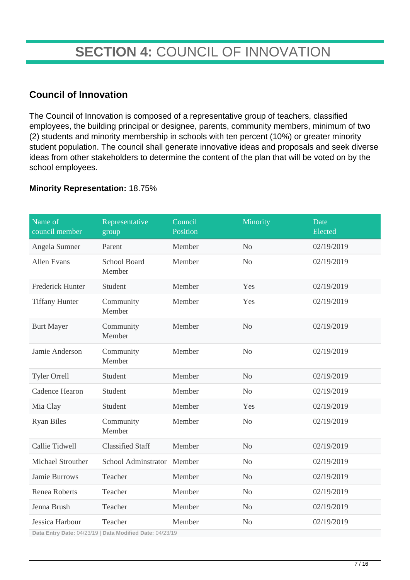## **SECTION 4:** COUNCIL OF INNOVATION

## **Council of Innovation**

The Council of Innovation is composed of a representative group of teachers, classified employees, the building principal or designee, parents, community members, minimum of two (2) students and minority membership in schools with ten percent (10%) or greater minority student population. The council shall generate innovative ideas and proposals and seek diverse ideas from other stakeholders to determine the content of the plan that will be voted on by the school employees.

#### **Minority Representation:** 18.75%

| Name of<br>council member | Representative<br>group                                                 | Council<br>Position | Minority       | Date<br>Elected |
|---------------------------|-------------------------------------------------------------------------|---------------------|----------------|-----------------|
| Angela Sumner             | Parent                                                                  | Member              | N <sub>o</sub> | 02/19/2019      |
| <b>Allen Evans</b>        | <b>School Board</b><br>Member                                           | Member              | N <sub>o</sub> | 02/19/2019      |
| <b>Frederick Hunter</b>   | Student                                                                 | Member              | Yes            | 02/19/2019      |
| <b>Tiffany Hunter</b>     | Community<br>Member                                                     | Member              | Yes            | 02/19/2019      |
| <b>Burt Mayer</b>         | Community<br>Member                                                     | Member              | N <sub>o</sub> | 02/19/2019      |
| Jamie Anderson            | Community<br>Member                                                     | Member              | N <sub>o</sub> | 02/19/2019      |
| <b>Tyler Orrell</b>       | Student                                                                 | Member              | No             | 02/19/2019      |
| Cadence Hearon            | Student                                                                 | Member              | N <sub>o</sub> | 02/19/2019      |
| Mia Clay                  | Student                                                                 | Member              | Yes            | 02/19/2019      |
| <b>Ryan Biles</b>         | Community<br>Member                                                     | Member              | N <sub>o</sub> | 02/19/2019      |
| Callie Tidwell            | <b>Classified Staff</b>                                                 | Member              | N <sub>o</sub> | 02/19/2019      |
| Michael Strouther         | School Adminstrator Member                                              |                     | N <sub>o</sub> | 02/19/2019      |
| Jamie Burrows             | Teacher                                                                 | Member              | N <sub>o</sub> | 02/19/2019      |
| <b>Renea Roberts</b>      | Teacher                                                                 | Member              | N <sub>o</sub> | 02/19/2019      |
| Jenna Brush               | Teacher                                                                 | Member              | N <sub>o</sub> | 02/19/2019      |
| Jessica Harbour           | Teacher<br>Dete Futur Dete 04/00/40   Dete Maill (1914)   Dete 04/00/40 | Member              | N <sub>o</sub> | 02/19/2019      |

**Data Entry Date:** 04/23/19 | **Data Modified Date:** 04/23/19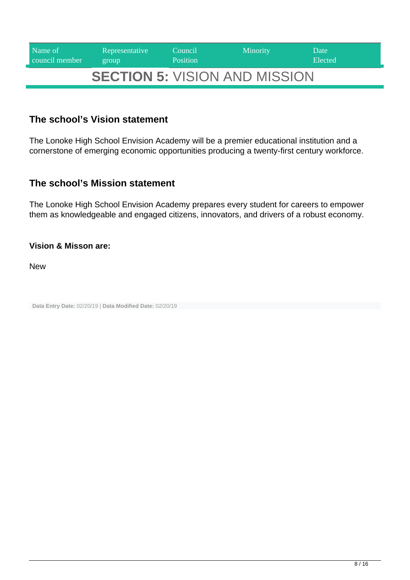| Name of<br>council member | Representative<br>group         | Council<br><b>Position</b> | <b>Minority</b> | Date<br>Elected |
|---------------------------|---------------------------------|----------------------------|-----------------|-----------------|
|                           | AFATIALLE LUCIALL ALID LUCALALL |                            |                 |                 |

## **SECTION 5:** VISION AND MISSION

### **The school's Vision statement**

The Lonoke High School Envision Academy will be a premier educational institution and a cornerstone of emerging economic opportunities producing a twenty-first century workforce.

### **The school's Mission statement**

The Lonoke High School Envision Academy prepares every student for careers to empower them as knowledgeable and engaged citizens, innovators, and drivers of a robust economy.

#### **Vision & Misson are:**

New

**Data Entry Date:** 02/20/19 | **Data Modified Date:** 02/20/19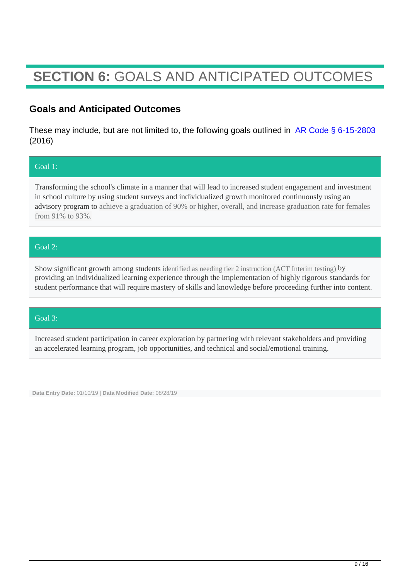## **SECTION 6:** GOALS AND ANTICIPATED OUTCOMES

### **Goals and Anticipated Outcomes**

These may include, but are not limited to, the following goals outlined in  $AR Code \S 6-15-2803$ (2016)

#### Goal 1:

Transforming the school's climate in a manner that will lead to increased student engagement and investment in school culture by using student surveys and individualized growth monitored continuously using an advisory program to achieve a graduation of 90% or higher, overall, and increase graduation rate for females from 91% to 93%.

#### Goal 2:

Show significant growth among students identified as needing tier 2 instruction (ACT Interim testing) by providing an individualized learning experience through the implementation of highly rigorous standards for student performance that will require mastery of skills and knowledge before proceeding further into content.

#### Goal 3:

Increased student participation in career exploration by partnering with relevant stakeholders and providing an accelerated learning program, job opportunities, and technical and social/emotional training.

**Data Entry Date:** 01/10/19 | **Data Modified Date:** 08/28/19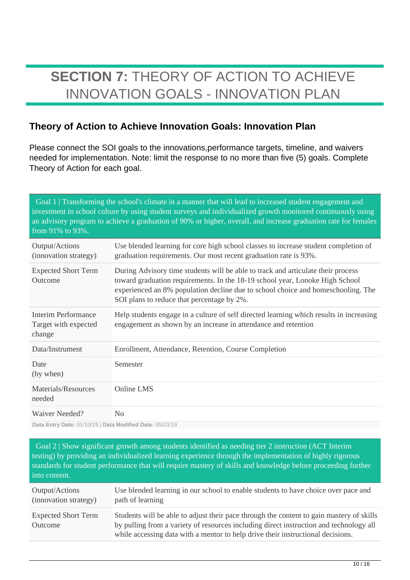## **SECTION 7:** THEORY OF ACTION TO ACHIEVE INNOVATION GOALS - INNOVATION PLAN

## **Theory of Action to Achieve Innovation Goals: Innovation Plan**

Please connect the SOI goals to the innovations,performance targets, timeline, and waivers needed for implementation. Note: limit the response to no more than five (5) goals. Complete Theory of Action for each goal.

 Goal 1 | Transforming the school's climate in a manner that will lead to increased student engagement and investment in school culture by using student surveys and individualized growth monitored continuously using an advisory program to achieve a graduation of 90% or higher, overall, and increase graduation rate for females from 91% to 93%.

| Output/Actions<br>(innovation strategy)               | Use blended learning for core high school classes to increase student completion of<br>graduation requirements. Our most recent graduation rate is 93%.                                                                                                                                            |
|-------------------------------------------------------|----------------------------------------------------------------------------------------------------------------------------------------------------------------------------------------------------------------------------------------------------------------------------------------------------|
| <b>Expected Short Term</b><br>Outcome                 | During Advisory time students will be able to track and articulate their process<br>toward graduation requirements. In the 18-19 school year, Lonoke High School<br>experienced an 8% population decline due to school choice and homeschooling. The<br>SOI plans to reduce that percentage by 2%. |
| Interim Performance<br>Target with expected<br>change | Help students engage in a culture of self directed learning which results in increasing<br>engagement as shown by an increase in attendance and retention                                                                                                                                          |
| Data/Instrument                                       | Enrollment, Attendance, Retention, Course Completion                                                                                                                                                                                                                                               |
| Date<br>(by when)                                     | Semester                                                                                                                                                                                                                                                                                           |
| Materials/Resources<br>needed                         | Online LMS                                                                                                                                                                                                                                                                                         |
| Waiver Needed?                                        | No                                                                                                                                                                                                                                                                                                 |

**Data Entry Date:** 01/10/19 | **Data Modified Date:** 05/23/19

 Goal 2 | Show significant growth among students identified as needing tier 2 instruction (ACT Interim testing) by providing an individualized learning experience through the implementation of highly rigorous standards for student performance that will require mastery of skills and knowledge before proceeding further into content.

| Output/Actions                        | Use blended learning in our school to enable students to have choice over pace and                                                                                                                                                                                    |
|---------------------------------------|-----------------------------------------------------------------------------------------------------------------------------------------------------------------------------------------------------------------------------------------------------------------------|
| (innovation strategy)                 | path of learning                                                                                                                                                                                                                                                      |
| <b>Expected Short Term</b><br>Outcome | Students will be able to adjust their pace through the content to gain mastery of skills<br>by pulling from a variety of resources including direct instruction and technology all<br>while accessing data with a mentor to help drive their instructional decisions. |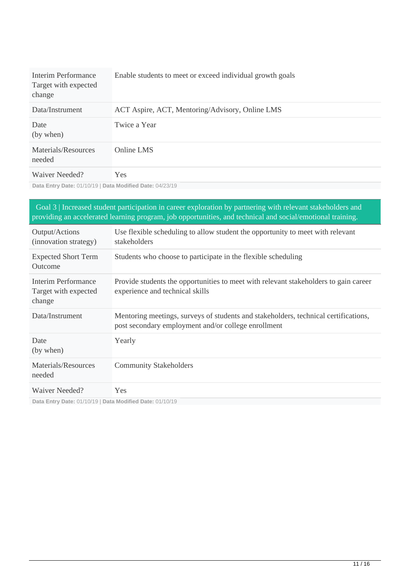| Interim Performance<br>Target with expected<br>change | Enable students to meet or exceed individual growth goals |
|-------------------------------------------------------|-----------------------------------------------------------|
| Data/Instrument                                       | ACT Aspire, ACT, Mentoring/Advisory, Online LMS           |
| Date<br>(by when)                                     | Twice a Year                                              |
| Materials/Resources<br>needed                         | Online LMS                                                |
| Waiver Needed?                                        | Yes.                                                      |

**Data Entry Date:** 01/10/19 | **Data Modified Date:** 04/23/19

| Goal 3   Increased student participation in career exploration by partnering with relevant stakeholders and<br>providing an accelerated learning program, job opportunities, and technical and social/emotional training. |                                                                                                                                            |  |
|---------------------------------------------------------------------------------------------------------------------------------------------------------------------------------------------------------------------------|--------------------------------------------------------------------------------------------------------------------------------------------|--|
| Output/Actions<br>(innovation strategy)                                                                                                                                                                                   | Use flexible scheduling to allow student the opportunity to meet with relevant<br>stakeholders                                             |  |
| <b>Expected Short Term</b><br>Outcome                                                                                                                                                                                     | Students who choose to participate in the flexible scheduling                                                                              |  |
| Interim Performance<br>Target with expected<br>change                                                                                                                                                                     | Provide students the opportunities to meet with relevant stakeholders to gain career<br>experience and technical skills                    |  |
| Data/Instrument                                                                                                                                                                                                           | Mentoring meetings, surveys of students and stakeholders, technical certifications,<br>post secondary employment and/or college enrollment |  |
| Date<br>(by when)                                                                                                                                                                                                         | Yearly                                                                                                                                     |  |
| Materials/Resources<br>needed                                                                                                                                                                                             | <b>Community Stakeholders</b>                                                                                                              |  |
| Waiver Needed?                                                                                                                                                                                                            | Yes                                                                                                                                        |  |

**Data Entry Date:** 01/10/19 | **Data Modified Date:** 01/10/19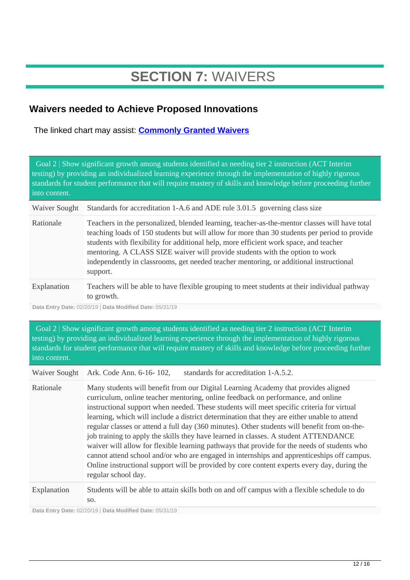## **SECTION 7:** WAIVERS

## **Waivers needed to Achieve Proposed Innovations**

The linked chart may assist: **[Commonly Granted Waivers](http://www.arkansased.gov/public/userfiles/Learning_Services/Charter%20and%20Home%20School/Charter%20School-Division%20of%20Learning%20Services/Applications/Waiver_Document.pdf)**

 Goal 2 | Show significant growth among students identified as needing tier 2 instruction (ACT Interim testing) by providing an individualized learning experience through the implementation of highly rigorous standards for student performance that will require mastery of skills and knowledge before proceeding further into content.

Waiver Sought Standards for accreditation 1-A.6 and ADE rule 3.01.5 governing class size

| Rationale   | Teachers in the personalized, blended learning, teacher-as-the-mentor classes will have total<br>teaching loads of 150 students but will allow for more than 30 students per period to provide<br>students with flexibility for additional help, more efficient work space, and teacher<br>mentoring. A CLASS SIZE waiver will provide students with the option to work<br>independently in classrooms, get needed teacher mentoring, or additional instructional<br>support. |
|-------------|-------------------------------------------------------------------------------------------------------------------------------------------------------------------------------------------------------------------------------------------------------------------------------------------------------------------------------------------------------------------------------------------------------------------------------------------------------------------------------|
| Explanation | Teachers will be able to have flexible grouping to meet students at their individual pathway<br>to growth.                                                                                                                                                                                                                                                                                                                                                                    |

**Data Entry Date:** 02/20/19 | **Data Modified Date:** 05/31/19

 Goal 2 | Show significant growth among students identified as needing tier 2 instruction (ACT Interim testing) by providing an individualized learning experience through the implementation of highly rigorous standards for student performance that will require mastery of skills and knowledge before proceeding further into content.

Waiver Sought Ark. Code Ann. 6-16- 102, standards for accreditation 1-A.5.2.

Rationale Many students will benefit from our Digital Learning Academy that provides aligned curriculum, online teacher mentoring, online feedback on performance, and online instructional support when needed. These students will meet specific criteria for virtual learning, which will include a district determination that they are either unable to attend regular classes or attend a full day (360 minutes). Other students will benefit from on-thejob training to apply the skills they have learned in classes. A student ATTENDANCE waiver will allow for flexible learning pathways that provide for the needs of students who cannot attend school and/or who are engaged in internships and apprenticeships off campus. Online instructional support will be provided by core content experts every day, during the regular school day.

Explanation Students will be able to attain skills both on and off campus with a flexible schedule to do so.

**Data Entry Date:** 02/20/19 | **Data Modified Date:** 05/31/19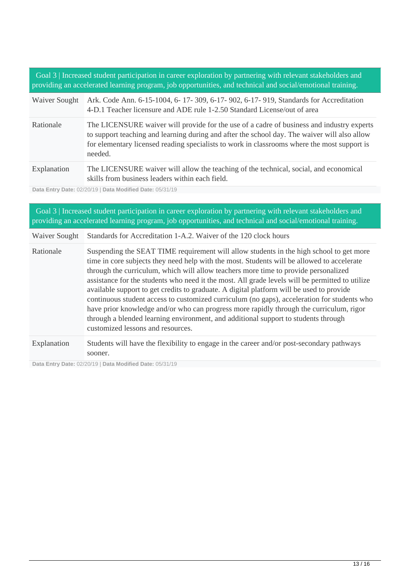Goal 3 | Increased student participation in career exploration by partnering with relevant stakeholders and providing an accelerated learning program, job opportunities, and technical and social/emotional training.

| Waiver Sought | Ark. Code Ann. 6-15-1004, 6-17-309, 6-17-902, 6-17-919, Standards for Accreditation<br>4-D.1 Teacher licensure and ADE rule 1-2.50 Standard License/out of area                                                                                                                                     |
|---------------|-----------------------------------------------------------------------------------------------------------------------------------------------------------------------------------------------------------------------------------------------------------------------------------------------------|
| Rationale     | The LICENSURE waiver will provide for the use of a cadre of business and industry experts<br>to support teaching and learning during and after the school day. The waiver will also allow<br>for elementary licensed reading specialists to work in classrooms where the most support is<br>needed. |
| Explanation   | The LICENSURE waiver will allow the teaching of the technical, social, and economical<br>skills from business leaders within each field.                                                                                                                                                            |

**Data Entry Date:** 02/20/19 | **Data Modified Date:** 05/31/19

| Goal 3   Increased student participation in career exploration by partnering with relevant stakeholders and<br>providing an accelerated learning program, job opportunities, and technical and social/emotional training. |                                                                                                                                                                                                                                                                                                                                                                                                                                                                                                                                                                                                                                                                                                                                                                                                  |  |
|---------------------------------------------------------------------------------------------------------------------------------------------------------------------------------------------------------------------------|--------------------------------------------------------------------------------------------------------------------------------------------------------------------------------------------------------------------------------------------------------------------------------------------------------------------------------------------------------------------------------------------------------------------------------------------------------------------------------------------------------------------------------------------------------------------------------------------------------------------------------------------------------------------------------------------------------------------------------------------------------------------------------------------------|--|
| Waiver Sought                                                                                                                                                                                                             | Standards for Accreditation 1-A.2. Waiver of the 120 clock hours                                                                                                                                                                                                                                                                                                                                                                                                                                                                                                                                                                                                                                                                                                                                 |  |
| Rationale                                                                                                                                                                                                                 | Suspending the SEAT TIME requirement will allow students in the high school to get more<br>time in core subjects they need help with the most. Students will be allowed to accelerate<br>through the curriculum, which will allow teachers more time to provide personalized<br>assistance for the students who need it the most. All grade levels will be permitted to utilize<br>available support to get credits to graduate. A digital platform will be used to provide<br>continuous student access to customized curriculum (no gaps), acceleration for students who<br>have prior knowledge and/or who can progress more rapidly through the curriculum, rigor<br>through a blended learning environment, and additional support to students through<br>customized lessons and resources. |  |
| Explanation                                                                                                                                                                                                               | Students will have the flexibility to engage in the career and/or post-secondary pathways<br>sooner.                                                                                                                                                                                                                                                                                                                                                                                                                                                                                                                                                                                                                                                                                             |  |

**Data Entry Date:** 02/20/19 | **Data Modified Date:** 05/31/19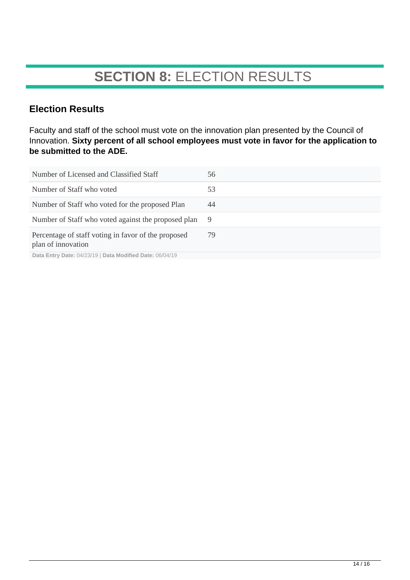## **SECTION 8:** ELECTION RESULTS

## **Election Results**

Faculty and staff of the school must vote on the innovation plan presented by the Council of Innovation. **Sixty percent of all school employees must vote in favor for the application to be submitted to the ADE.**

| Number of Licensed and Classified Staff                                   | 56 |
|---------------------------------------------------------------------------|----|
| Number of Staff who voted                                                 | 53 |
| Number of Staff who voted for the proposed Plan                           | 44 |
| Number of Staff who voted against the proposed plan                       | -9 |
| Percentage of staff voting in favor of the proposed<br>plan of innovation | 79 |
| Data Entry Date: 04/23/19   Data Modified Date: 06/04/19                  |    |

 $14/16$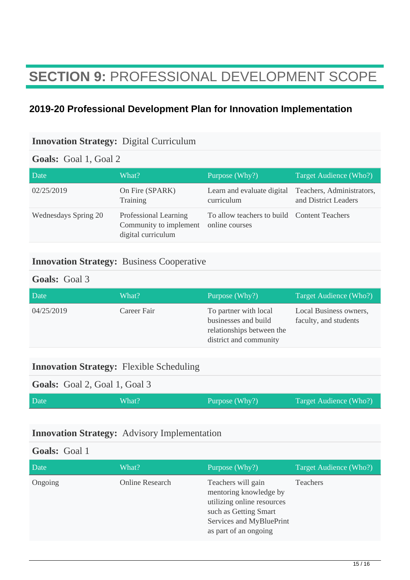## **SECTION 9:** PROFESSIONAL DEVELOPMENT SCOPE

## **2019-20 Professional Development Plan for Innovation Implementation**

### **Innovation Strategy:** Digital Curriculum

### **Goals:** Goal 1, Goal 2

| Date                 | What?                                                                 | Purpose $(Why?)$                                              | Target Audience (Who?)                            |
|----------------------|-----------------------------------------------------------------------|---------------------------------------------------------------|---------------------------------------------------|
| 02/25/2019           | On Fire (SPARK)<br>Training                                           | Learn and evaluate digital<br>curriculum                      | Teachers, Administrators,<br>and District Leaders |
| Wednesdays Spring 20 | Professional Learning<br>Community to implement<br>digital curriculum | To allow teachers to build Content Teachers<br>online courses |                                                   |

### **Innovation Strategy:** Business Cooperative

#### **Goals:** Goal 3

| Date       | What?       | Purpose (Why?)                                                                                       | Target Audience (Who?)                          |
|------------|-------------|------------------------------------------------------------------------------------------------------|-------------------------------------------------|
| 04/25/2019 | Career Fair | To partner with local<br>businesses and build<br>relationships between the<br>district and community | Local Business owners,<br>faculty, and students |

#### **Innovation Strategy:** Flexible Scheduling

|  | Goals: Goal 2, Goal 1, Goal 3 |  |
|--|-------------------------------|--|
|--|-------------------------------|--|

| Date | What? | Purpose (Why?) | Target Audience (Who?) |
|------|-------|----------------|------------------------|
|      |       |                |                        |

### **Innovation Strategy:** Advisory Implementation

### **Goals:** Goal 1

| Date    | What?           | Purpose (Why?)                                                                                                                                           | Target Audience (Who?) |
|---------|-----------------|----------------------------------------------------------------------------------------------------------------------------------------------------------|------------------------|
| Ongoing | Online Research | Teachers will gain<br>mentoring knowledge by<br>utilizing online resources<br>such as Getting Smart<br>Services and MyBluePrint<br>as part of an ongoing | Teachers               |